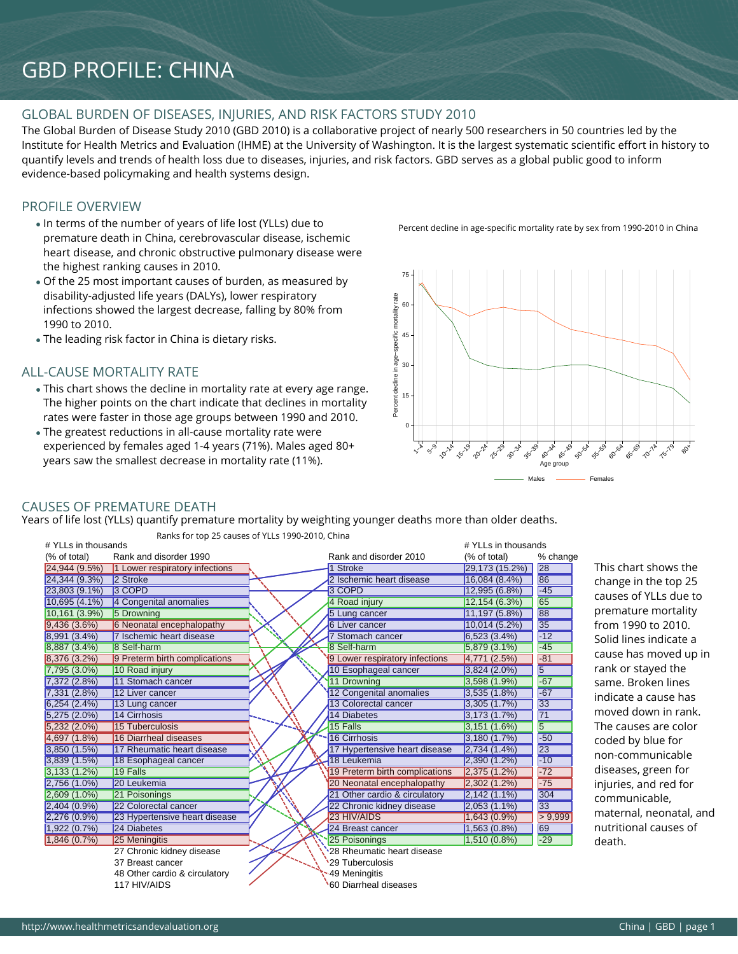# GBD PROFILE: CHINA

## GLOBAL BURDEN OF DISEASES, INJURIES, AND RISK FACTORS STUDY 2010

The Global Burden of Disease Study 2010 (GBD 2010) is a collaborative project of nearly 500 researchers in 50 countries led by the Institute for Health Metrics and Evaluation (IHME) at the University of Washington. It is the largest systematic scientific effort in history to quantify levels and trends of health loss due to diseases, injuries, and risk factors. GBD serves as a global public good to inform evidence-based policymaking and health systems design.

# PROFILE OVERVIEW

- In terms of the number of years of life lost (YLLs) due to premature death in China, cerebrovascular disease, ischemic heart disease, and chronic obstructive pulmonary disease were the highest ranking causes in 2010.
- Of the 25 most important causes of burden, as measured by disability-adjusted life years (DALYs), lower respiratory infections showed the largest decrease, falling by 80% from 1990 to 2010.
- The leading risk factor in China is dietary risks.

## ALL-CAUSE MORTALITY RATE

- This chart shows the decline in mortality rate at every age range. The higher points on the chart indicate that declines in mortality rates were faster in those age groups between 1990 and 2010.
- The greatest reductions in all-cause mortality rate were experienced by females aged 1-4 years (71%). Males aged 80+ years saw the smallest decrease in mortality rate (11%).

Percent decline in age-specific mortality rate by sex from 1990-2010 in China



#### CAUSES OF PREMATURE DEATH

Years of life lost (YLLs) quantify premature mortality by weighting younger deaths more than older deaths.

| # YLLs in thousands |                                |                                | # YLLs in thousands |                 |                         |
|---------------------|--------------------------------|--------------------------------|---------------------|-----------------|-------------------------|
| (% of total)        | Rank and disorder 1990         | Rank and disorder 2010         | (% of total)        | % change        |                         |
| 24,944 (9.5%)       | 1 Lower respiratory infections | <b>Stroke</b>                  | 29,173 (15.2%)      | 28              | This chart shows the    |
| 24,344 (9.3%)       | 2 Stroke                       | 2 Ischemic heart disease       | 16,084(8.4%)        | 86              | change in the top 25    |
| 23,803 (9.1%)       | 3 COPD                         | 3 COPD                         | 12,995 (6.8%)       | $-45$           | causes of YLLs due to   |
| 10,695 (4.1%)       | 4 Congenital anomalies         | 4 Road injury                  | 12,154 (6.3%)       | 65              |                         |
| 10,161(3.9%)        | 5 Drowning                     | 5 Lung cancer                  | 11,197 (5.8%)       | 88              | premature mortality     |
| 9,436(3.6%)         | 6 Neonatal encephalopathy      | <b>6 Liver cancer</b>          | 10,014(5.2%)        | 35              | from 1990 to 2010.      |
| 8,991 (3.4%)        | 7 Ischemic heart disease       | Stomach cancer                 | 6,523(3.4%)         | $-12$           | Solid lines indicate a  |
| 8,887 (3.4%)        | 8 Self-harm                    | 8 Self-harm                    | $5,879(3.1\%)$      | $-45$           | cause has moved up in   |
| 8,376 (3.2%)        | 9 Preterm birth complications  | 9 Lower respiratory infections | 4,771(2.5%)         | $-81$           |                         |
| 7,795 (3.0%)        | 10 Road injury                 | 10 Esophageal cancer           | $3,824(2.0\%)$      | 5               | rank or stayed the      |
| 7,372(2.8%)         | 11 Stomach cancer              | 11 Drowning                    | 3,598 (1.9%)        | $-67$           | same. Broken lines      |
| 7,331 (2.8%)        | 12 Liver cancer                | 12 Congenital anomalies        | 3,535(1.8%)         | $-67$           | indicate a cause has    |
| 6,254(2.4%)         | 13 Lung cancer                 | 13 Colorectal cancer           | 3,305(1.7%)         | 33              |                         |
| $5,275(2.0\%)$      | 14 Cirrhosis                   | 14 Diabetes                    | 3,173(1.7%)         | $\overline{71}$ | moved down in rank.     |
| $5,232(2.0\%)$      | 15 Tuberculosis                | 15 Falls                       | 3,151(1.6%)         | $\overline{5}$  | The causes are color    |
| 4,697 (1.8%)        | 16 Diarrheal diseases          | 16 Cirrhosis                   | 3,180(1.7%)         | $-50$           | coded by blue for       |
| 3,850 (1.5%)        | 17 Rheumatic heart disease     | 17 Hypertensive heart disease  | 2,734(1.4%)         | 23              | non-communicable        |
| 3,839(1.5%)         | 18 Esophageal cancer           | 18 Leukemia                    | 2,390(1.2%)         | $-10$           |                         |
| 3,133(1.2%)         | 19 Falls                       | 19 Preterm birth complications | 2,375(1.2%)         | $-72$           | diseases, green for     |
| 2,756 (1.0%)        | 20 Leukemia                    | 20 Neonatal encephalopathy     | 2,302(1.2%)         | $-75$           | injuries, and red for   |
| 2,609 (1.0%)        | 21 Poisonings                  | 21 Other cardio & circulatory  | $2,142(1.1\%)$      | 304             | communicable,           |
| 2,404 (0.9%)        | 22 Colorectal cancer           | 22 Chronic kidney disease      | $2,053(1.1\%)$      | 33              | maternal, neonatal, and |
| 2,276(0.9%)         | 23 Hypertensive heart disease  | 23 HIV/AIDS                    | $1,643(0.9\%)$      | > 9,999         |                         |
| 1,922(0.7%)         | 24 Diabetes                    | 24 Breast cancer               | 1,563(0.8%)         | 69              | nutritional causes of   |
| 1,846(0.7%)         | 25 Meningitis                  | 25 Poisonings                  | $1,510(0.8\%)$      | $-29$           | death.                  |
|                     | 27 Chronic kidney disease      | 28 Rheumatic heart disease     |                     |                 |                         |
|                     | 37 Breast cancer               | 29 Tuberculosis                |                     |                 |                         |
|                     | 48 Other cardio & circulatory  | 49 Meningitis                  |                     |                 |                         |
|                     | 117 HIV/AIDS                   | 60 Diarrheal diseases          |                     |                 |                         |
|                     |                                |                                |                     |                 |                         |

Ranks for top 25 causes of YLLs 1990-2010, China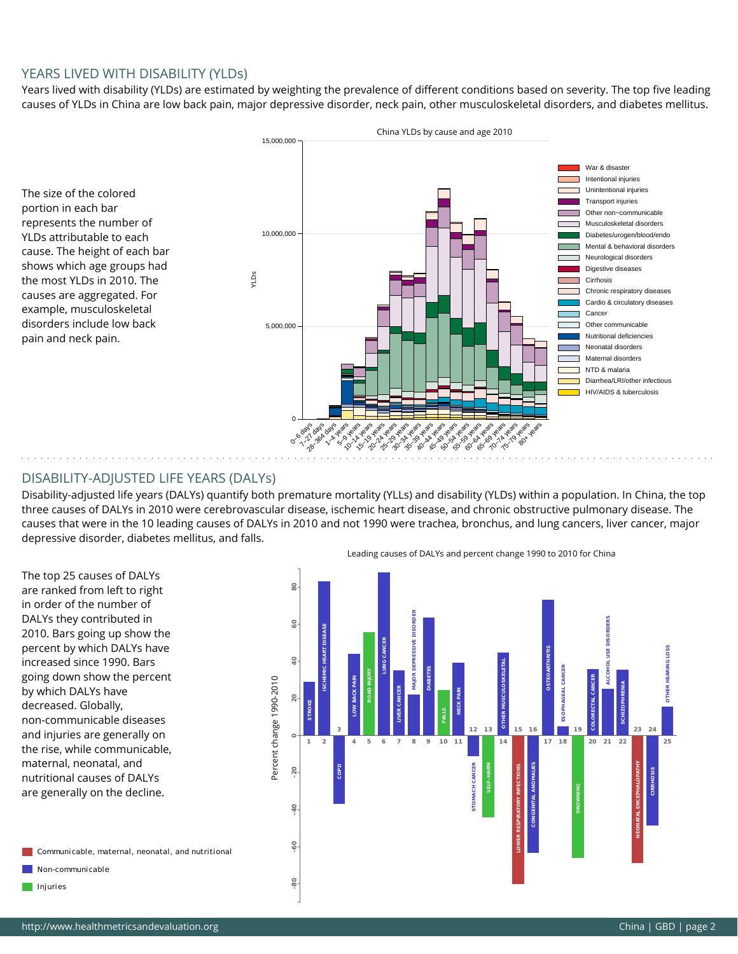#### YEARS LIVED WITH DISABILITY (YLDs)

Years lived with disability (YLDs) are estimated by weighting the prevalence of different conditions based on severity. The top five leading causes of YLDs in China are low back pain, major depressive disorder, neck pain, other musculoskeletal disorders, and diabetes mellitus.

The size of the colored portion in each bar represents the number of YLDs attributable to each cause. The height of each bar shows which age groups had the most YLDs in 2010. The causes are aggregated. For example, musculoskeletal disorders include low back pain and neck pain.



## DISABILITY-ADJUSTED LIFE YEARS (DALYs)

Disability-adjusted life years (DALYs) quantify both premature mortality (YLLs) and disability (YLDs) within a population. In China, the top three causes of DALYs in 2010 were cerebrovascular disease, ischemic heart disease, and chronic obstructive pulmonary disease. The causes that were in the 10 leading causes of DALYs in 2010 and not 1990 were trachea, bronchus, and lung cancers, liver cancer, major depressive disorder, diabetes mellitus, and falls.

The top 25 causes of DALYs are ranked from left to right in order of the number of DALYs they contributed in 2010. Bars going up show the percent by which DALYs have increased since 1990. Bars going down show the percent by which DALYs have decreased. Globally, non-communicable diseases and injuries are generally on the rise, while communicable, maternal, neonatal, and nutritional causes of DALYs are generally on the decline.

Communicable, maternal, neonatal, and nutritional  $\Box$  Non-communicable **CO** Injuries

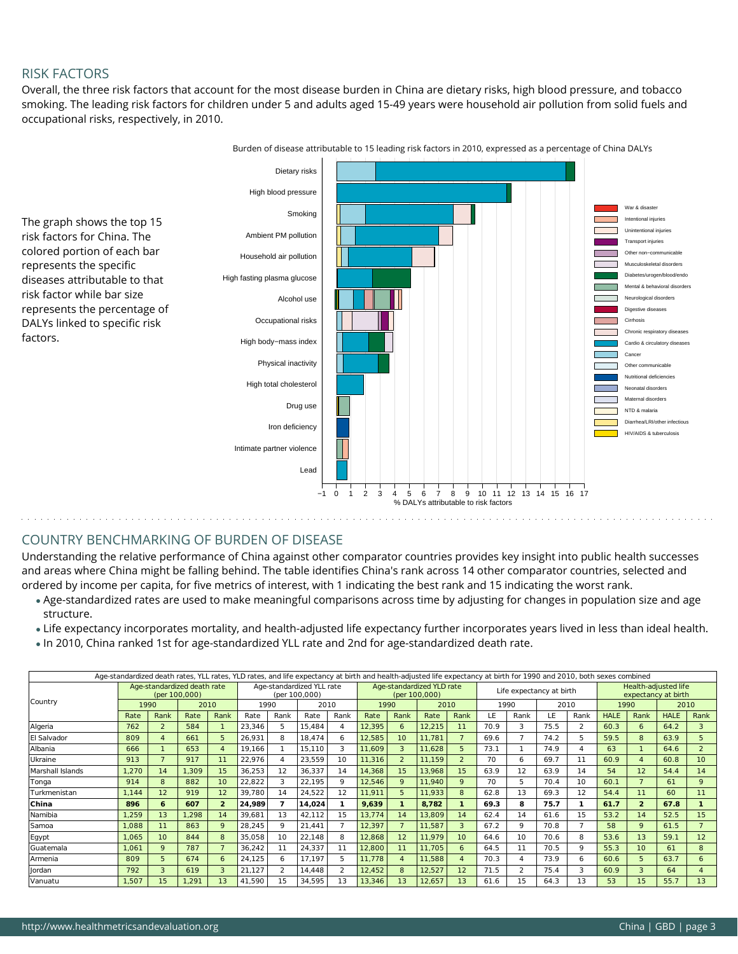## RISK FACTORS

Overall, the three risk factors that account for the most disease burden in China are dietary risks, high blood pressure, and tobacco smoking. The leading risk factors for children under 5 and adults aged 15-49 years were household air pollution from solid fuels and occupational risks, respectively, in 2010.



Burden of disease attributable to 15 leading risk factors in 2010, expressed as a percentage of China DALYs

# COUNTRY BENCHMARKING OF BURDEN OF DISEASE

Understanding the relative performance of China against other comparator countries provides key insight into public health successes and areas where China might be falling behind. The table identifies China's rank across 14 other comparator countries, selected and ordered by income per capita, for five metrics of interest, with 1 indicating the best rank and 15 indicating the worst rank.

- Age-standardized rates are used to make meaningful comparisons across time by adjusting for changes in population size and age structure.
- Life expectancy incorporates mortality, and health-adjusted life expectancy further incorporates years lived in less than ideal health.
- In 2010, China ranked 1st for age-standardized YLL rate and 2nd for age-standardized death rate.

|                  |                                              |                |       |                 | Age-standardized death rates, YLL rates, YLD rates, and life expectancy at birth and health-adjusted life expectancy at birth for 1990 and 2010, both sexes combined |                         |        |      |        |      |                                            |      |      |                          |      |                |             |                                             |             |                |  |  |
|------------------|----------------------------------------------|----------------|-------|-----------------|----------------------------------------------------------------------------------------------------------------------------------------------------------------------|-------------------------|--------|------|--------|------|--------------------------------------------|------|------|--------------------------|------|----------------|-------------|---------------------------------------------|-------------|----------------|--|--|
|                  | Age-standardized death rate<br>(per 100.000) |                |       |                 | Age-standardized YLL rate<br>(per 100,000)                                                                                                                           |                         |        |      |        |      | Age-standardized YLD rate<br>(per 100,000) |      |      | Life expectancy at birth |      |                |             | Health-adjusted life<br>expectancy at birth |             |                |  |  |
| Country          | 1990                                         |                | 2010  |                 | 1990                                                                                                                                                                 |                         | 2010   |      | 1990   |      | 2010                                       |      | 1990 |                          |      | 2010           | 1990        |                                             | 2010        |                |  |  |
|                  | Rate                                         | Rank           | Rate  | Rank            | Rate                                                                                                                                                                 | Rank                    | Rate   | Rank | Rate   | Rank | Rate                                       | Rank | LE   | Rank                     | LE   | Rank           | <b>HALE</b> | Rank                                        | <b>HALE</b> | Rank           |  |  |
| Algeria          | 762                                          | $\overline{2}$ | 584   |                 | 23,346                                                                                                                                                               | 5                       | 15.484 | 4    | 12,395 | 6    | 12,215                                     | 11   | 70.9 | в                        | 75.5 | 2              | 60.3        | 6                                           | 64.2        | 3              |  |  |
| El Salvador      | 809                                          | $\overline{4}$ | 661   | 5.              | 26,931                                                                                                                                                               | 8                       | 18.474 | 6    | 12,585 | 10   | 11,781                                     |      | 69.6 |                          | 74.2 | 5              | 59.5        | 8                                           | 63.9        | 5              |  |  |
| Albania          | 666                                          |                | 653   | 4               | 19.166                                                                                                                                                               |                         | 15,110 | 3    | 11.609 | 3    | 11,628                                     | 5    | 73.1 |                          | 74.9 | $\overline{4}$ | 63          |                                             | 64.6        | $\overline{2}$ |  |  |
| Ukraine          | 913                                          | $\overline{7}$ | 917   | 11              | 22,976                                                                                                                                                               | 4                       | 23,559 | 10   | 11,316 |      | 11,159                                     |      | 70   | 6                        | 69.7 | 11             | 60.9        |                                             | 60.8        | 10             |  |  |
| Marshall Islands | 1,270                                        | 14             | 1,309 | 15              | 36,253                                                                                                                                                               | 12                      | 36,337 | 14   | 14,368 | 15   | 13,968                                     | 15   | 63.9 | 12                       | 63.9 | 14             | 54          | 12                                          | 54.4        | 14             |  |  |
| Tonga            | 914                                          | 8              | 882   | 10 <sup>1</sup> | 22,822                                                                                                                                                               | 3                       | 22.195 | 9    | 12,546 | q    | 11,940                                     | 9    | 70   |                          | 70.4 | 10             | 60.1        |                                             | 61          | 9              |  |  |
| Turkmenistan     | 1,144                                        | 12             | 919   | 12              | 39,780                                                                                                                                                               | 14                      | 24,522 | 12   | 11,911 |      | 11,933                                     | 8    | 62.8 | 13                       | 69.3 | 12             | 54.4        | 11                                          | 60          | 11             |  |  |
| China            | 896                                          | 6              | 607   | $\overline{2}$  | 24.989                                                                                                                                                               | 7                       | 14.024 | 1    | 9,639  |      | 8,782                                      |      | 69.3 | 8                        | 75.7 | 1              | 61.7        | $\overline{2}$                              | 67.8        |                |  |  |
| Namibia          | 1,259                                        | 13             | 1,298 | 14              | 39,681                                                                                                                                                               | 13                      | 42,112 | 15   | 13,774 | 14   | 13,809                                     | 14   | 62.4 | 14                       | 61.6 | 15             | 53.2        | 14                                          | 52.5        | 15             |  |  |
| Samoa            | 1,088                                        | 11             | 863   | 9               | 28,245                                                                                                                                                               | 9                       | 21,441 |      | 12,397 |      | 11,587                                     | 3    | 67.2 | 9                        | 70.8 |                | 58          | 9                                           | 61.5        |                |  |  |
| Egypt            | 1,065                                        | 10             | 844   | 8               | 35,058                                                                                                                                                               | 10                      | 22,148 | 8    | 12,868 | 12   | 11,979                                     | 10   | 64.6 | 10                       | 70.6 | 8              | 53.6        | 13                                          | 59.1        | 12             |  |  |
| Guatemala        | 1,061                                        | 9              | 787   |                 | 36,242                                                                                                                                                               | 11                      | 24,337 | 11   | 12.800 | 11   | 11,705                                     | 6    | 64.5 | 11                       | 70.5 | 9              | 55.3        | 10                                          | 61          | 8              |  |  |
| Armenia          | 809                                          | 5              | 674   | 6               | 24,125                                                                                                                                                               | 6                       | 17,197 | 5    | 11.778 | 4    | 11,588                                     | 4    | 70.3 | 4                        | 73.9 | 6              | 60.6        | 5                                           | 63.7        | 6              |  |  |
| Jordan           | 792                                          | 3              | 619   | 3               | 21,127                                                                                                                                                               | $\overline{\mathbf{c}}$ | 14.448 | 2    | 12,452 | 8    | 12,527                                     | 12   | 71.5 | $\overline{\phantom{a}}$ | 75.4 | 3              | 60.9        | З                                           | 64          |                |  |  |
| Vanuatu          | 1,507                                        | 15             | 1,291 | 13              | 41,590                                                                                                                                                               | 15                      | 34,595 | 13   | 13,346 | 13   | 12,657                                     | 13   | 61.6 | 15                       | 64.3 | 13             | 53          | 15                                          | 55.7        | 13             |  |  |